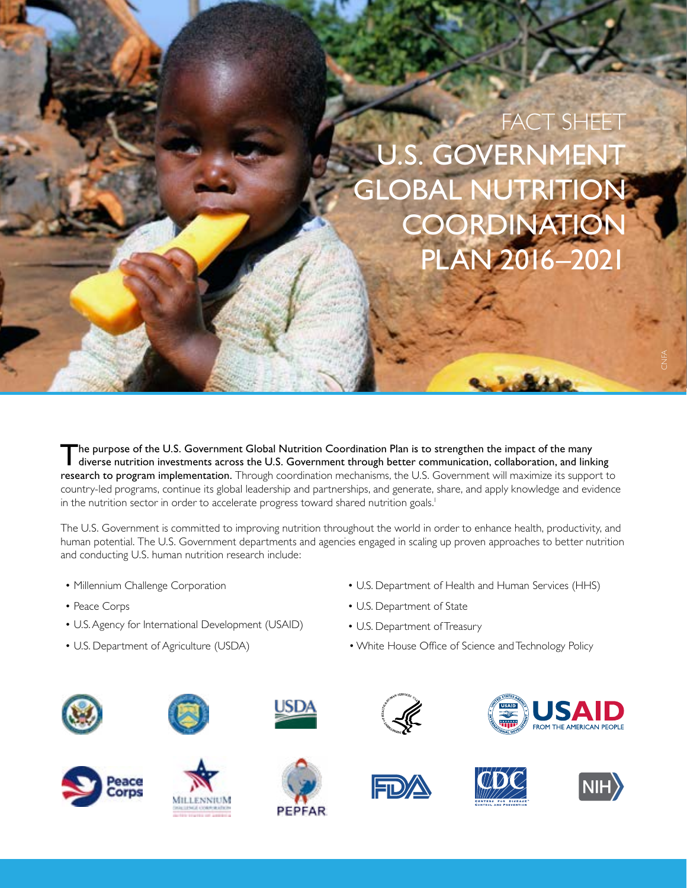## U.S. GOVERNMENT GLOBAL NUTRITION **COORDINATION** PLAN 2016–2021 FACT SHEET

The purpose of the U.S. Government Global Nutrition Coordination Plan is to strengthen the impact of the many diverse nutrition investments across the U.S. Government through better communication, collaboration, and linkin research to program implementation. Through coordination mechanisms, the U.S. Government will maximize its support to country-led programs, continue its global leadership and partnerships, and generate, share, and apply knowledge and evidence in the nutrition sector in order to accelerate progress toward shared nutrition goals.<sup>1</sup>

The U.S. Government is committed to improving nutrition throughout the world in order to enhance health, productivity, and human potential. The U.S. Government departments and agencies engaged in scaling up proven approaches to better nutrition and conducting U.S. human nutrition research include:

- Millennium Challenge Corporation
- Peace Corps
- U.S. Agency for International Development (USAID)
- U.S. Department of Agriculture (USDA)
- U.S. Department of Health and Human Services (HHS)
- U.S. Department of State
- U.S. Department of Treasury
- White House Office of Science and Technology Policy

















**FROM THE AMERICAN PEOPLE** 

e≤<br>C